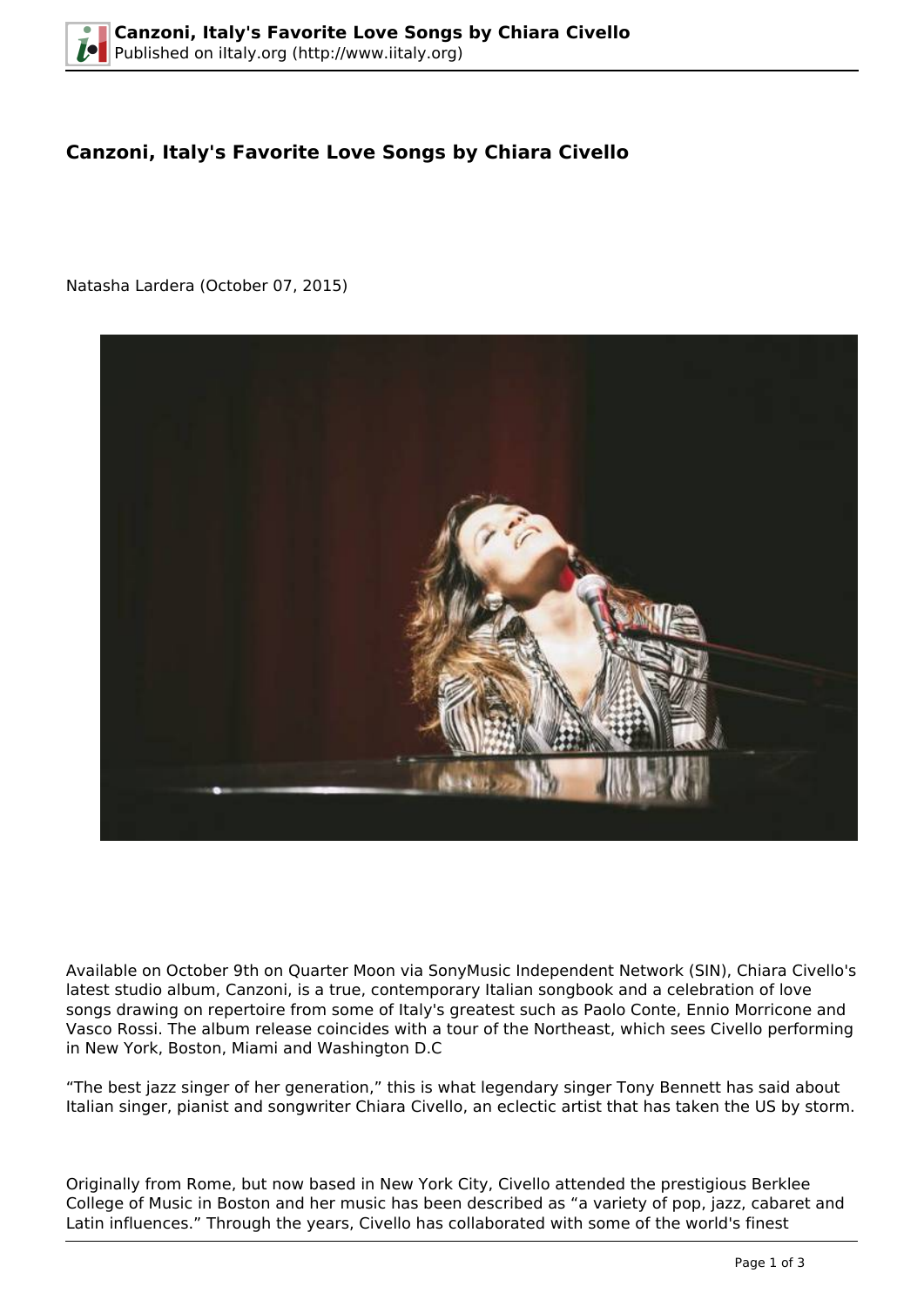## **Canzoni, Italy's Favorite Love Songs by Chiara Civello**

Natasha Lardera (October 07, 2015)



Available on October 9th on Quarter Moon via SonyMusic Independent Network (SIN), Chiara Civello's latest studio album, Canzoni, is a true, contemporary Italian songbook and a celebration of love songs drawing on repertoire from some of Italy's greatest such as Paolo Conte, Ennio Morricone and Vasco Rossi. The album release coincides with a tour of the Northeast, which sees Civello performing in New York, Boston, Miami and Washington D.C

"The best jazz singer of her generation," this is what legendary singer Tony Bennett has said about Italian singer, pianist and songwriter Chiara Civello, an eclectic artist that has taken the US by storm.

Originally from Rome, but now based in New York City, Civello attended the prestigious Berklee College of Music in Boston and her music has been described as "a variety of pop, jazz, cabaret and Latin influences." Through the years, Civello has collaborated with some of the world's finest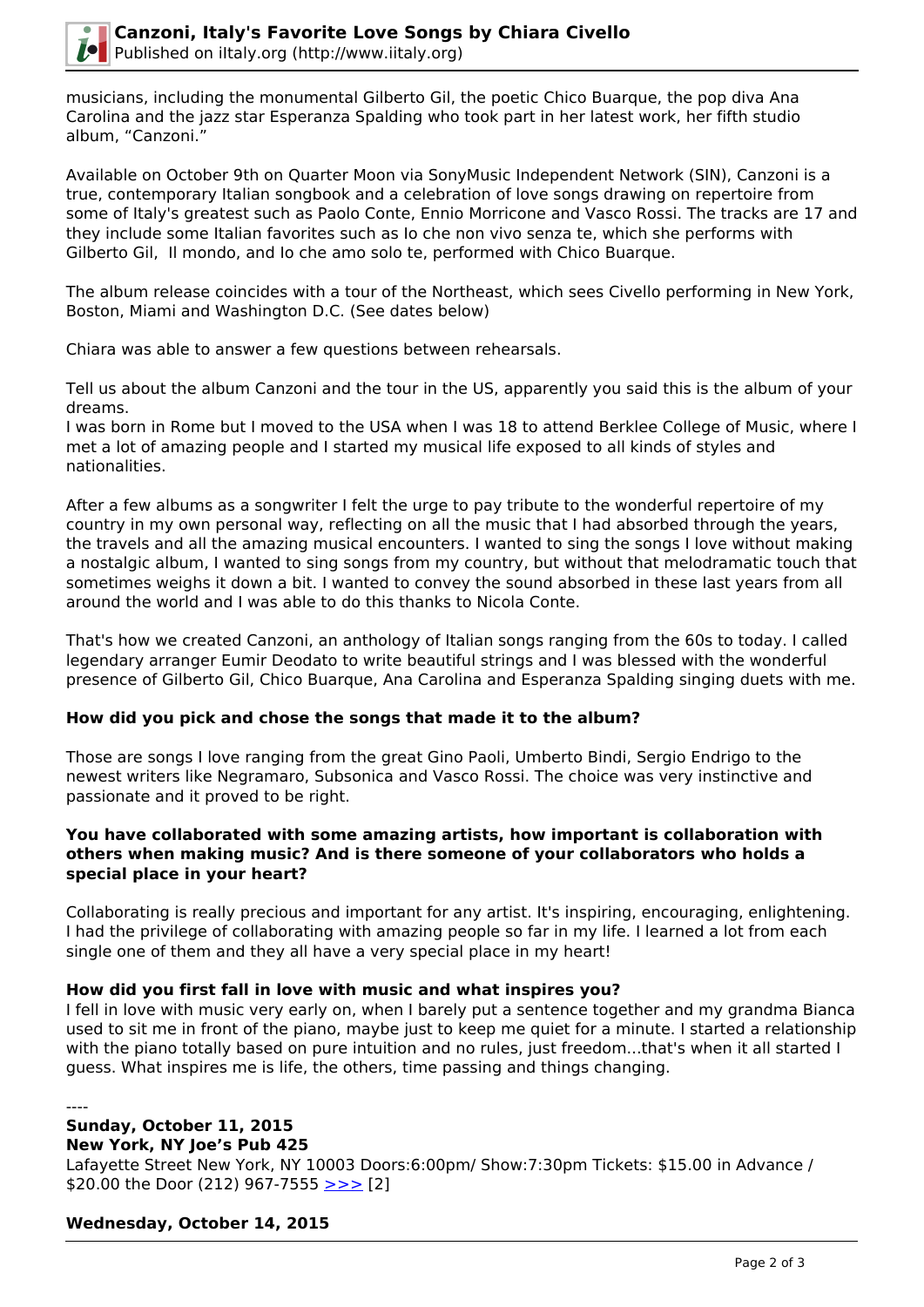

musicians, including the monumental Gilberto Gil, the poetic Chico Buarque, the pop diva Ana Carolina and the jazz star Esperanza Spalding who took part in her latest work, her fifth studio album, "Canzoni."

Available on October 9th on Quarter Moon via SonyMusic Independent Network (SIN), Canzoni is a true, contemporary Italian songbook and a celebration of love songs drawing on repertoire from some of Italy's greatest such as Paolo Conte, Ennio Morricone and Vasco Rossi. The tracks are 17 and they include some Italian favorites such as Io che non vivo senza te, which she performs with Gilberto Gil, Il mondo, and Io che amo solo te, performed with Chico Buarque.

The album release coincides with a tour of the Northeast, which sees Civello performing in New York, Boston, Miami and Washington D.C. (See dates below)

Chiara was able to answer a few questions between rehearsals.

Tell us about the album Canzoni and the tour in the US, apparently you said this is the album of your dreams.

I was born in Rome but I moved to the USA when I was 18 to attend Berklee College of Music, where I met a lot of amazing people and I started my musical life exposed to all kinds of styles and nationalities.

After a few albums as a songwriter I felt the urge to pay tribute to the wonderful repertoire of my country in my own personal way, reflecting on all the music that I had absorbed through the years, the travels and all the amazing musical encounters. I wanted to sing the songs I love without making a nostalgic album, I wanted to sing songs from my country, but without that melodramatic touch that sometimes weighs it down a bit. I wanted to convey the sound absorbed in these last years from all around the world and I was able to do this thanks to Nicola Conte.

That's how we created Canzoni, an anthology of Italian songs ranging from the 60s to today. I called legendary arranger Eumir Deodato to write beautiful strings and I was blessed with the wonderful presence of Gilberto Gil, Chico Buarque, Ana Carolina and Esperanza Spalding singing duets with me.

### **How did you pick and chose the songs that made it to the album?**

Those are songs I love ranging from the great Gino Paoli, Umberto Bindi, Sergio Endrigo to the newest writers like Negramaro, Subsonica and Vasco Rossi. The choice was very instinctive and passionate and it proved to be right.

#### **You have collaborated with some amazing artists, how important is collaboration with others when making music? And is there someone of your collaborators who holds a special place in your heart?**

Collaborating is really precious and important for any artist. It's inspiring, encouraging, enlightening. I had the privilege of collaborating with amazing people so far in my life. I learned a lot from each single one of them and they all have a very special place in my heart!

### **How did you first fall in love with music and what inspires you?**

I fell in love with music very early on, when I barely put a sentence together and my grandma Bianca used to sit me in front of the piano, maybe just to keep me quiet for a minute. I started a relationship with the piano totally based on pure intuition and no rules, just freedom...that's when it all started I guess. What inspires me is life, the others, time passing and things changing.

----

# **Sunday, October 11, 2015**

**New York, NY Joe's Pub 425** 

Lafayette Street New York, NY 10003 Doors:6:00pm/ Show:7:30pm Tickets: \$15.00 in Advance / \$20.00 the Door (212) 967-7555 [>>>](http://joespub.publictheater.org/en/tickets/calendar/playdetailscollection/joes-pub/2015/c/chiara-civello/?SiteTheme=JoesPub) [2]

### **Wednesday, October 14, 2015**